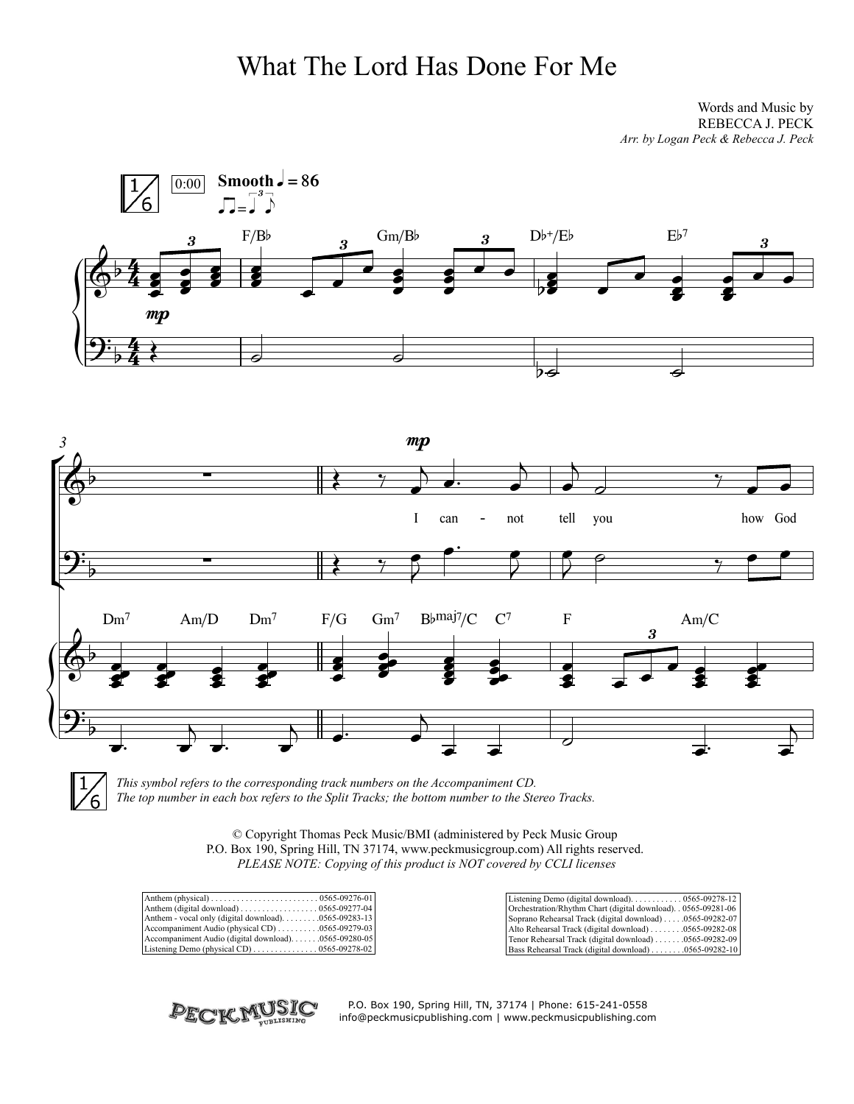## What The Lord Has Done For Me

Words and Music by REBECCA J. PECK *Arr. by Logan Peck & Rebecca J. Peck*





*This symbol refers to the corresponding track numbers on the Accompaniment CD. The top number in each box refers to the Split Tracks; the bottom number to the Stereo Tracks.*

> © Copyright Thomas Peck Music/BMI (administered by Peck Music Group P.O. Box 190, Spring Hill, TN 37174, www.peckmusicgroup.com) All rights reserved. *PLEASE NOTE: Copying of this product is NOT covered by CCLI licenses*

|                                                          | Orchestration/Rhythm Chart (digital download). . 0565-09281-06                      |
|----------------------------------------------------------|-------------------------------------------------------------------------------------|
| Anthem - vocal only (digital download) 0565-09283-13     | Soprano Rehearsal Track (digital download) 0565-09282-07                            |
| Accompaniment Audio (physical CD) $\ldots$ 0565-09279-03 | Alto Rehearsal Track (digital download) $\ldots \ldots \ldots \ldots 0565-09282-08$ |
| Accompaniment Audio (digital download)0565-09280-05      | Tenor Rehearsal Track (digital download) 0565-09282-09                              |
|                                                          | Bass Rehearsal Track (digital download) 0565-09282-10                               |



P.O. Box 190, Spring Hill, TN, 37174 | Phone: 615-241-0558 info@peckmusicpublishing.com | www.peckmusicpublishing.com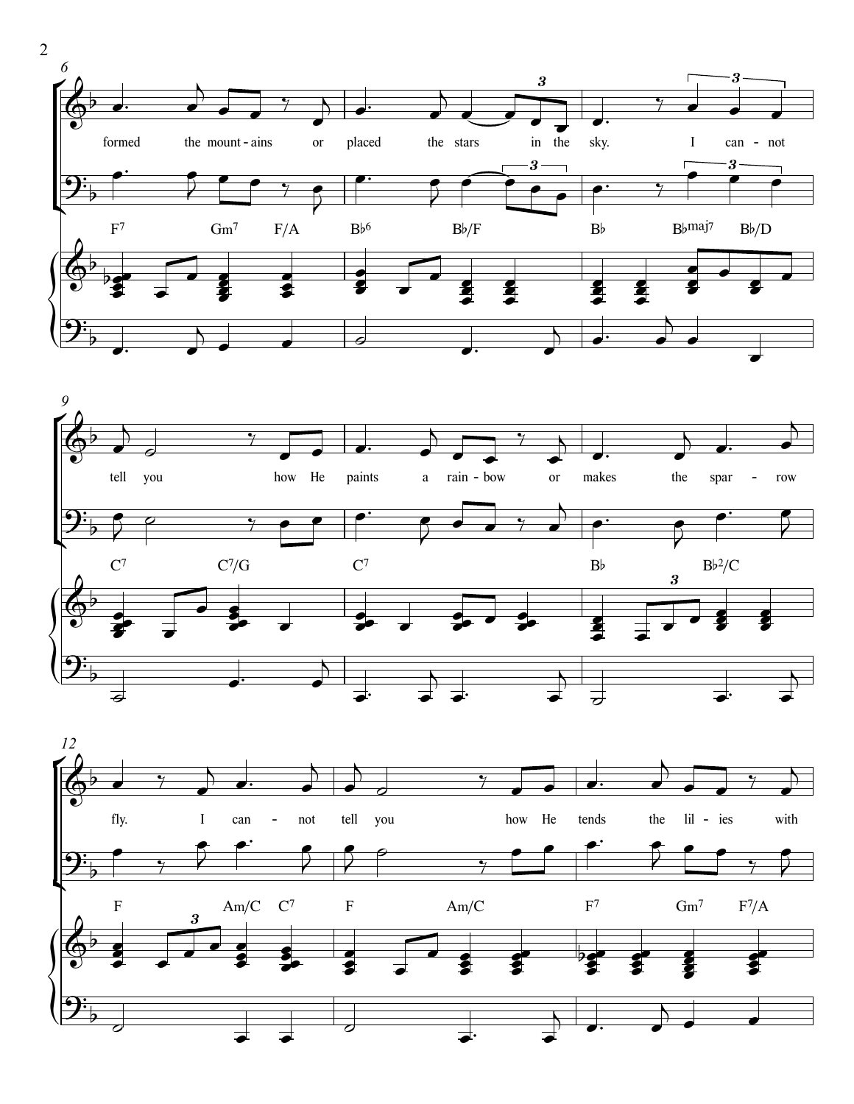



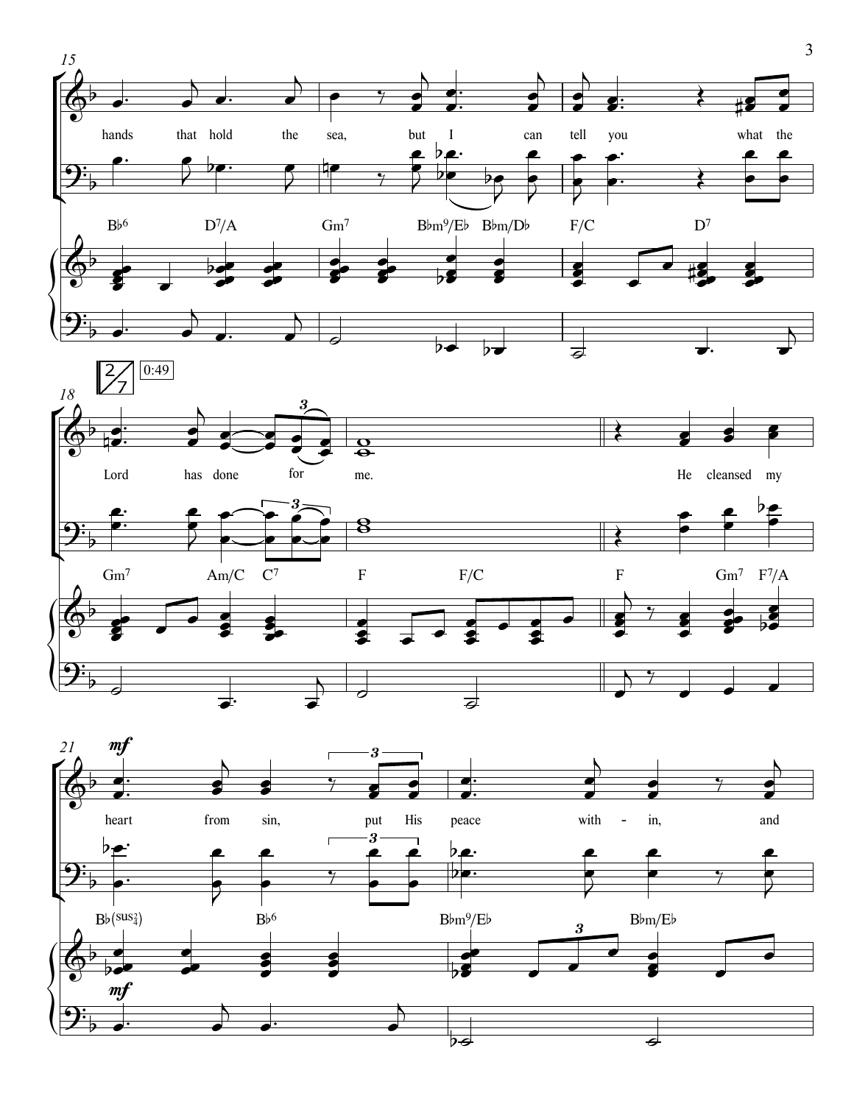



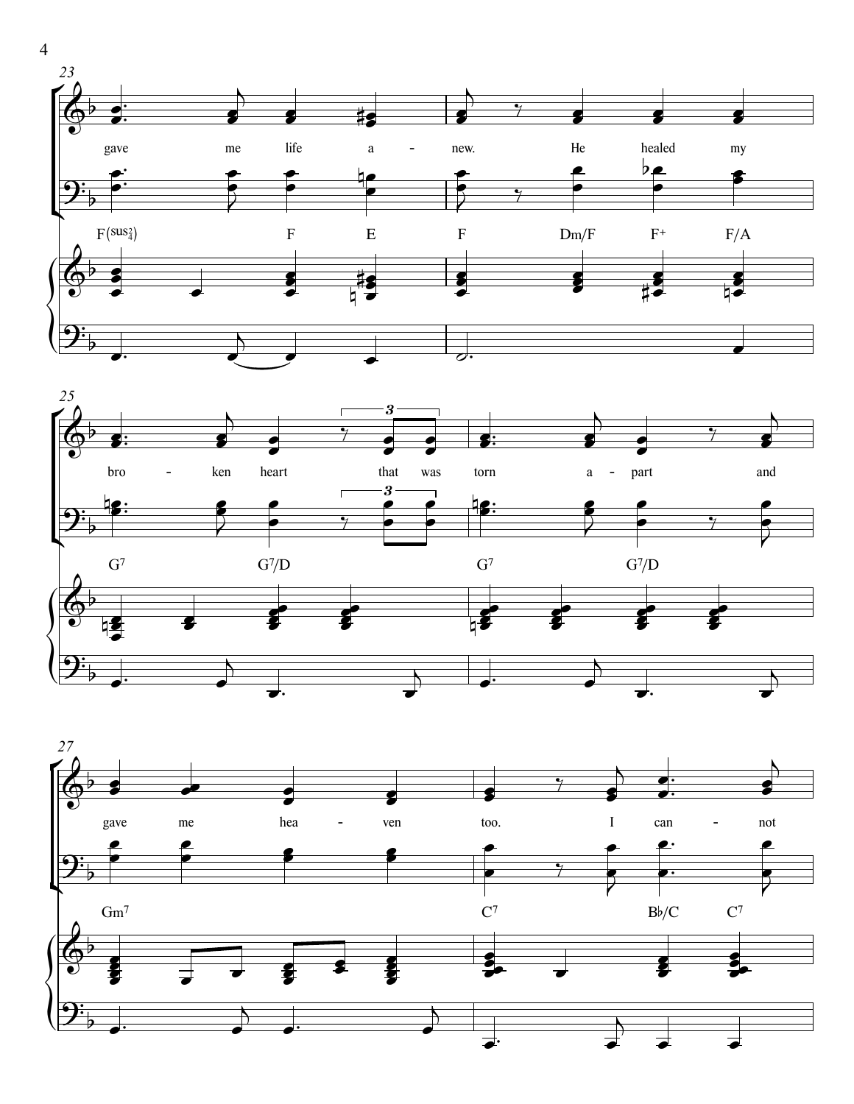





 $\overline{4}$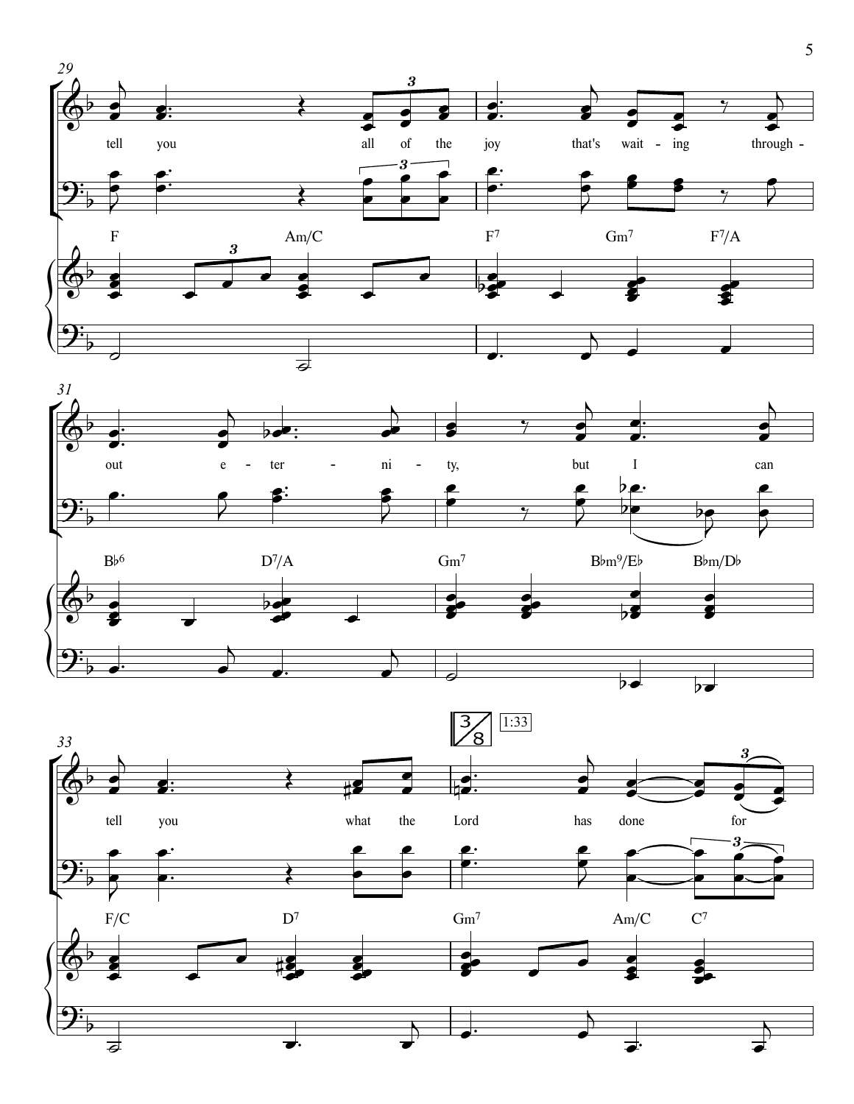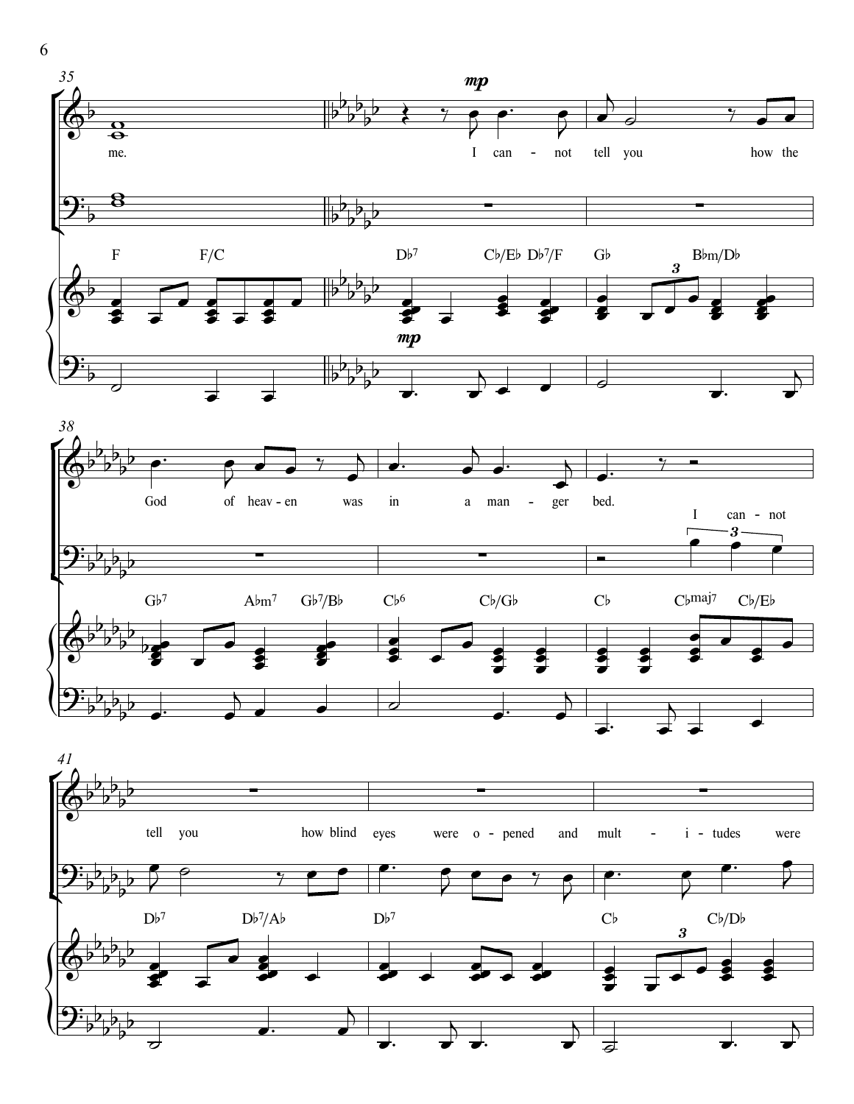

˙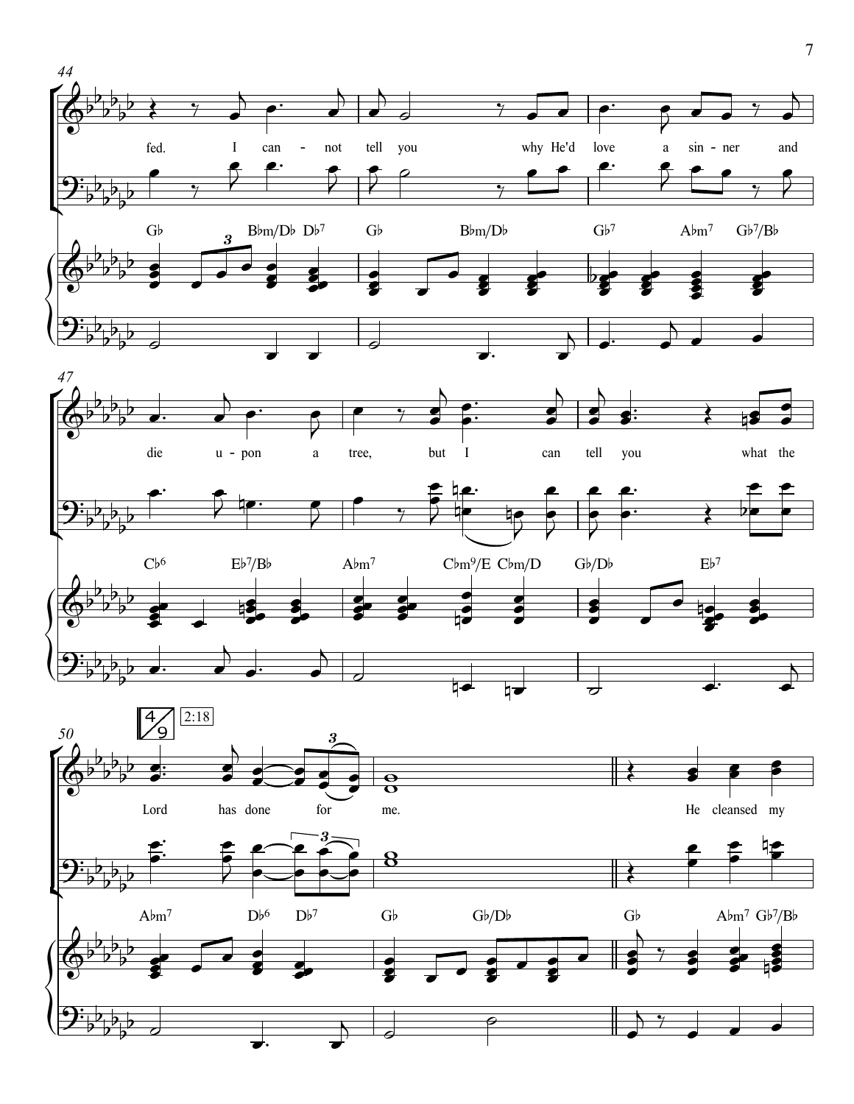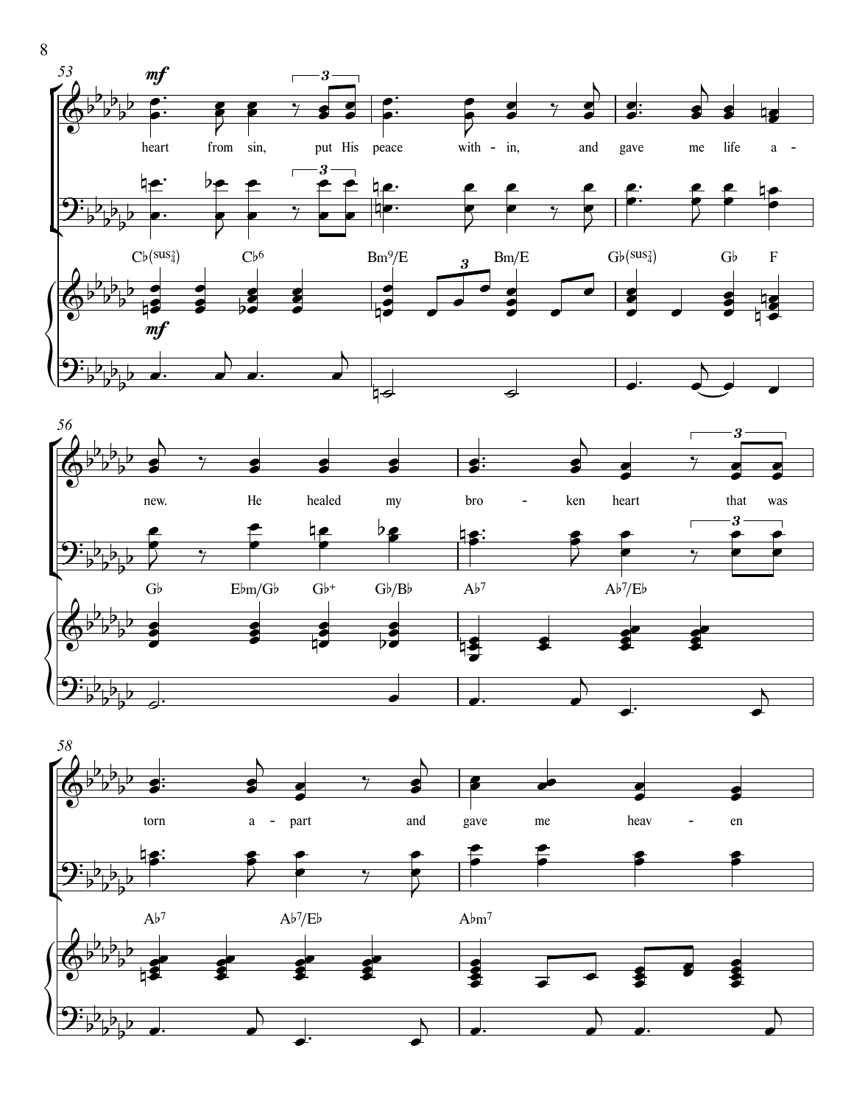





8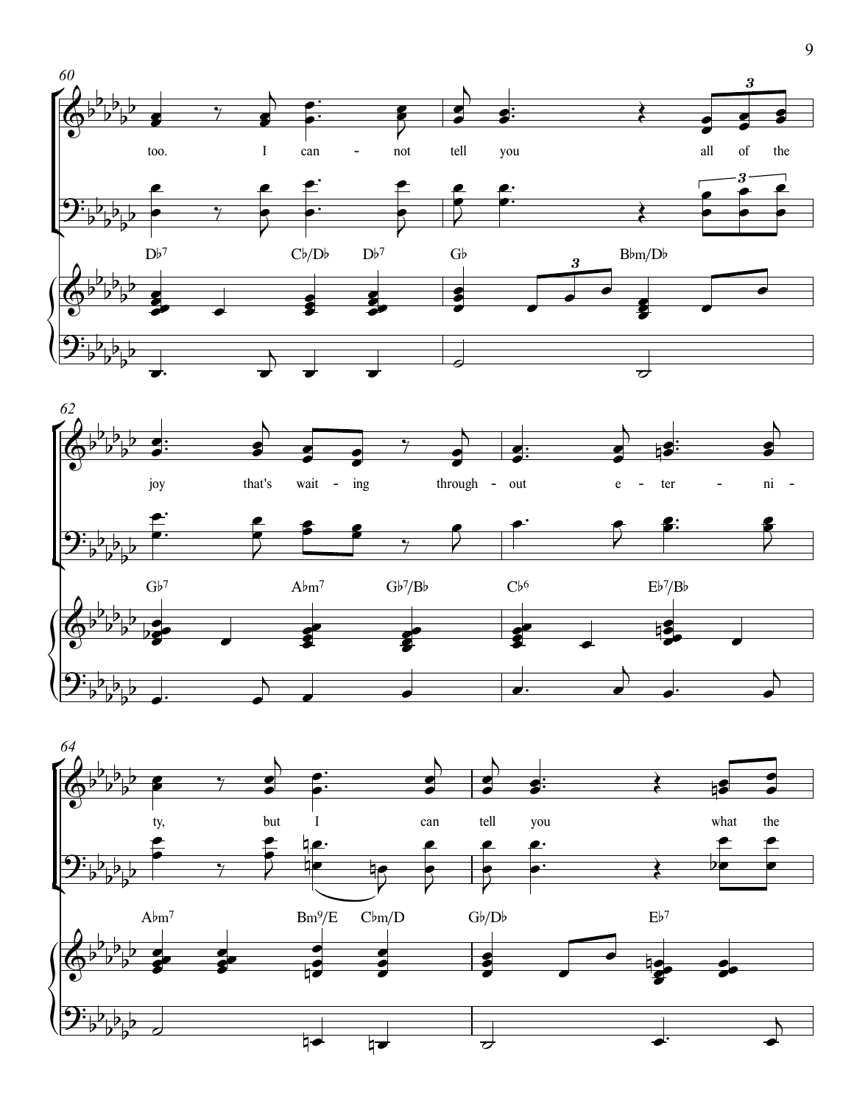



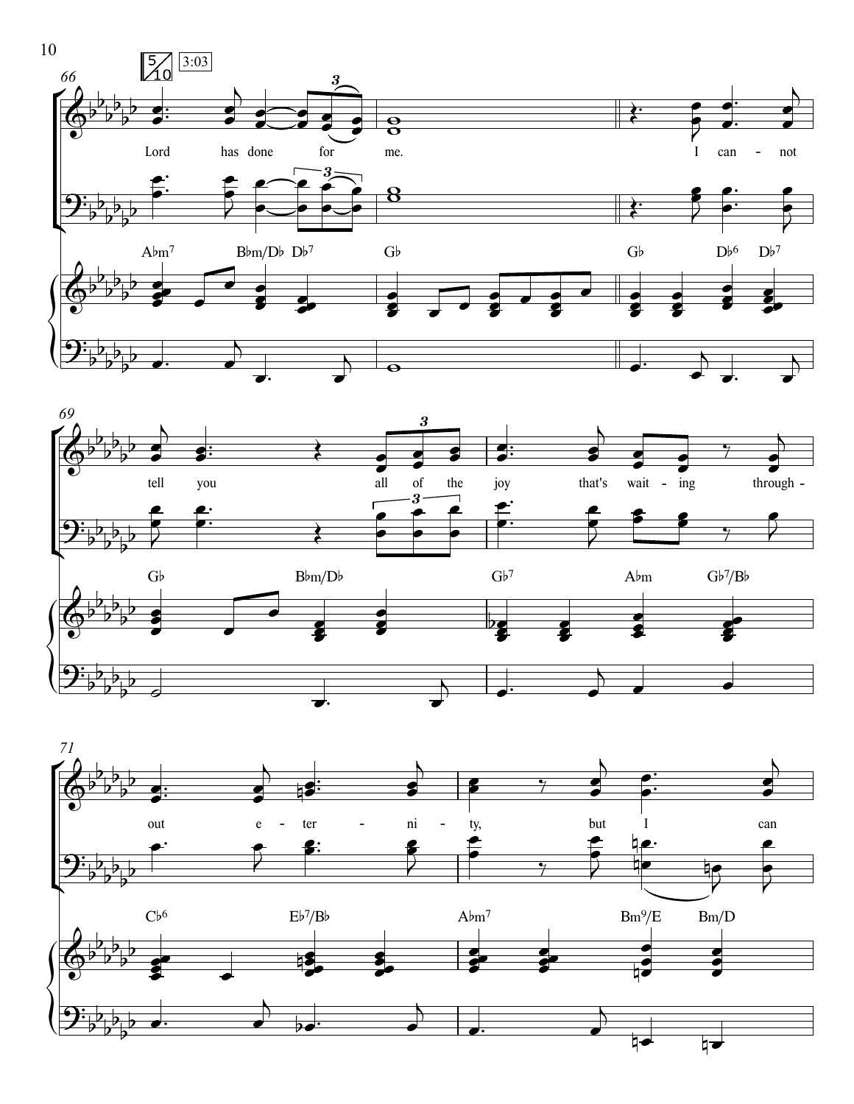